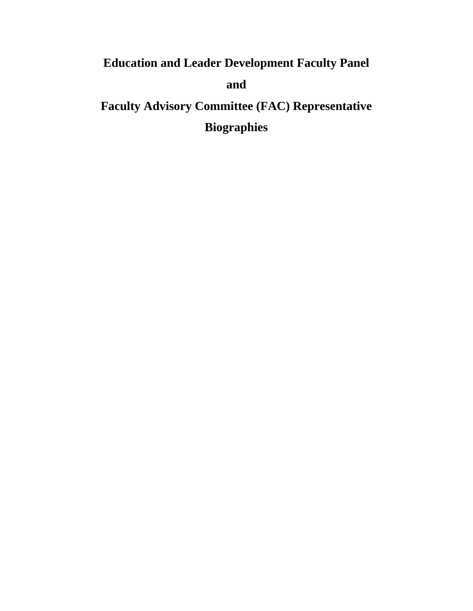# **Education and Leader Development Faculty Panel and Faculty Advisory Committee (FAC) Representative**

**Biographies**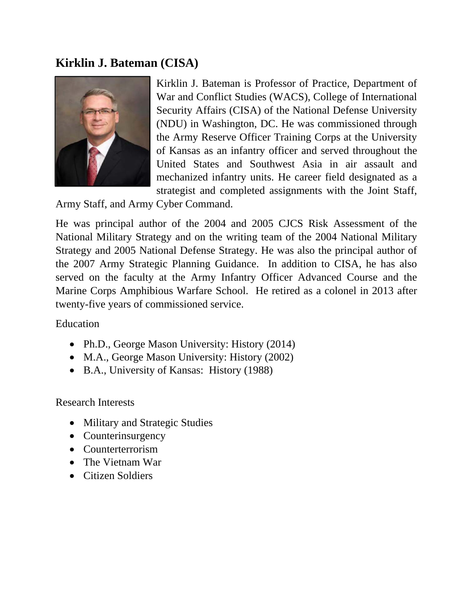### **Kirklin J. Bateman (CISA)**



Kirklin J. Bateman is Professor of Practice, Department of War and Conflict Studies (WACS), College of International Security Affairs (CISA) of the National Defense University (NDU) in Washington, DC. He was commissioned through the Army Reserve Officer Training Corps at the University of Kansas as an infantry officer and served throughout the United States and Southwest Asia in air assault and mechanized infantry units. He career field designated as a strategist and completed assignments with the Joint Staff,

Army Staff, and Army Cyber Command.

He was principal author of the 2004 and 2005 CJCS Risk Assessment of the National Military Strategy and on the writing team of the 2004 National Military Strategy and 2005 National Defense Strategy. He was also the principal author of the 2007 Army Strategic Planning Guidance. In addition to CISA, he has also served on the faculty at the Army Infantry Officer Advanced Course and the Marine Corps Amphibious Warfare School. He retired as a colonel in 2013 after twenty-five years of commissioned service.

Education

- Ph.D., George Mason University: History (2014)
- M.A., George Mason University: History (2002)
- B.A., University of Kansas: History (1988)

Research Interests

- Military and Strategic Studies
- Counterinsurgency
- Counterterrorism
- The Vietnam War
- Citizen Soldiers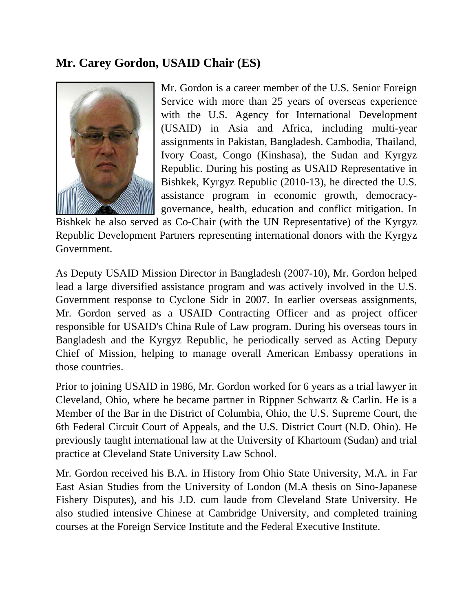## **Mr. Carey Gordon, USAID Chair (ES)**



Mr. Gordon is a career member of the U.S. Senior Foreign Service with more than 25 years of overseas experience with the U.S. Agency for International Development (USAID) in Asia and Africa, including multi-year assignments in Pakistan, Bangladesh. Cambodia, Thailand, Ivory Coast, Congo (Kinshasa), the Sudan and Kyrgyz Republic. During his posting as USAID Representative in Bishkek, Kyrgyz Republic (2010-13), he directed the U.S. assistance program in economic growth, democracygovernance, health, education and conflict mitigation. In

Bishkek he also served as Co-Chair (with the UN Representative) of the Kyrgyz Republic Development Partners representing international donors with the Kyrgyz Government.

As Deputy USAID Mission Director in Bangladesh (2007-10), Mr. Gordon helped lead a large diversified assistance program and was actively involved in the U.S. Government response to Cyclone Sidr in 2007. In earlier overseas assignments, Mr. Gordon served as a USAID Contracting Officer and as project officer responsible for USAID's China Rule of Law program. During his overseas tours in Bangladesh and the Kyrgyz Republic, he periodically served as Acting Deputy Chief of Mission, helping to manage overall American Embassy operations in those countries.

Prior to joining USAID in 1986, Mr. Gordon worked for 6 years as a trial lawyer in Cleveland, Ohio, where he became partner in Rippner Schwartz & Carlin. He is a Member of the Bar in the District of Columbia, Ohio, the U.S. Supreme Court, the 6th Federal Circuit Court of Appeals, and the U.S. District Court (N.D. Ohio). He previously taught international law at the University of Khartoum (Sudan) and trial practice at Cleveland State University Law School.

Mr. Gordon received his B.A. in History from Ohio State University, M.A. in Far East Asian Studies from the University of London (M.A thesis on Sino-Japanese Fishery Disputes), and his J.D. cum laude from Cleveland State University. He also studied intensive Chinese at Cambridge University, and completed training courses at the Foreign Service Institute and the Federal Executive Institute.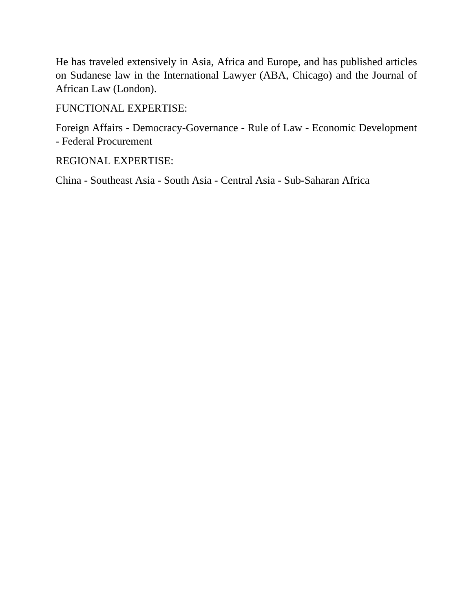He has traveled extensively in Asia, Africa and Europe, and has published articles on Sudanese law in the International Lawyer (ABA, Chicago) and the Journal of African Law (London).

FUNCTIONAL EXPERTISE:

Foreign Affairs - Democracy-Governance - Rule of Law - Economic Development - Federal Procurement

REGIONAL EXPERTISE:

China - Southeast Asia - South Asia - Central Asia - Sub-Saharan Africa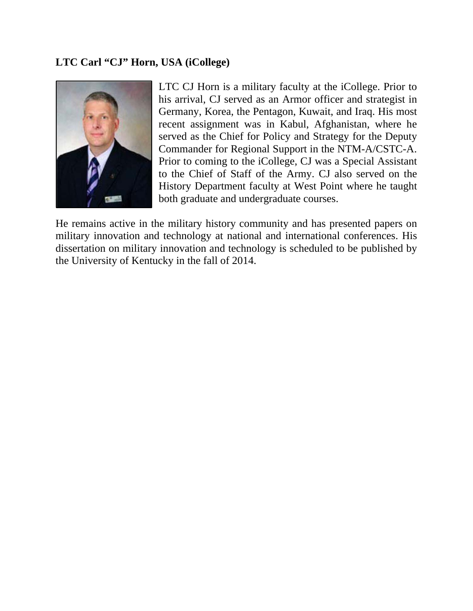#### **LTC Carl "CJ" Horn, USA (iCollege)**



LTC CJ Horn is a military faculty at the iCollege. Prior to his arrival, CJ served as an Armor officer and strategist in Germany, Korea, the Pentagon, Kuwait, and Iraq. His most recent assignment was in Kabul, Afghanistan, where he served as the Chief for Policy and Strategy for the Deputy Commander for Regional Support in the NTM-A/CSTC-A. Prior to coming to the iCollege, CJ was a Special Assistant to the Chief of Staff of the Army. CJ also served on the History Department faculty at West Point where he taught both graduate and undergraduate courses.

He remains active in the military history community and has presented papers on military innovation and technology at national and international conferences. His dissertation on military innovation and technology is scheduled to be published by the University of Kentucky in the fall of 2014.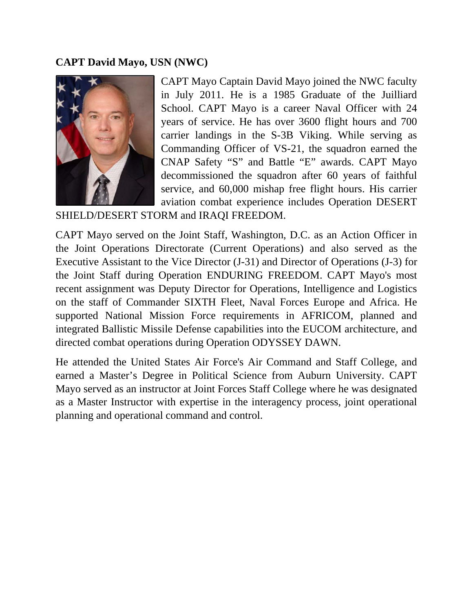#### **CAPT David Mayo, USN (NWC)**



CAPT Mayo Captain David Mayo joined the NWC faculty in July 2011. He is a 1985 Graduate of the Juilliard School. CAPT Mayo is a career Naval Officer with 24 years of service. He has over 3600 flight hours and 700 carrier landings in the S-3B Viking. While serving as Commanding Officer of VS-21, the squadron earned the CNAP Safety "S" and Battle "E" awards. CAPT Mayo decommissioned the squadron after 60 years of faithful service, and 60,000 mishap free flight hours. His carrier aviation combat experience includes Operation DESERT

SHIELD/DESERT STORM and IRAQI FREEDOM.

CAPT Mayo served on the Joint Staff, Washington, D.C. as an Action Officer in the Joint Operations Directorate (Current Operations) and also served as the Executive Assistant to the Vice Director (J-31) and Director of Operations (J-3) for the Joint Staff during Operation ENDURING FREEDOM. CAPT Mayo's most recent assignment was Deputy Director for Operations, Intelligence and Logistics on the staff of Commander SIXTH Fleet, Naval Forces Europe and Africa. He supported National Mission Force requirements in AFRICOM, planned and integrated Ballistic Missile Defense capabilities into the EUCOM architecture, and directed combat operations during Operation ODYSSEY DAWN.

He attended the United States Air Force's Air Command and Staff College, and earned a Master's Degree in Political Science from Auburn University. CAPT Mayo served as an instructor at Joint Forces Staff College where he was designated as a Master Instructor with expertise in the interagency process, joint operational planning and operational command and control.